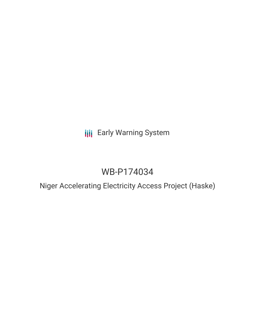## **III** Early Warning System

# WB-P174034

## Niger Accelerating Electricity Access Project (Haske)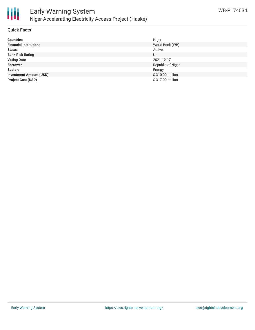

#### **Quick Facts**

| <b>Countries</b>               | Niger             |
|--------------------------------|-------------------|
| <b>Financial Institutions</b>  | World Bank (WB)   |
| <b>Status</b>                  | Active            |
| <b>Bank Risk Rating</b>        | U                 |
| <b>Voting Date</b>             | 2021-12-17        |
| <b>Borrower</b>                | Republic of Niger |
| <b>Sectors</b>                 | Energy            |
| <b>Investment Amount (USD)</b> | \$310.00 million  |
| <b>Project Cost (USD)</b>      | \$317.00 million  |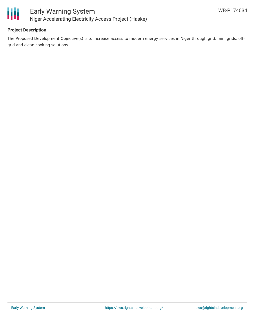

### **Project Description**

The Proposed Development Objective(s) is to increase access to modern energy services in Niger through grid, mini grids, offgrid and clean cooking solutions.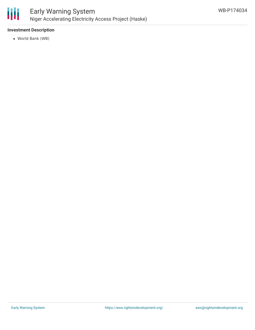

#### **Investment Description**

World Bank (WB)